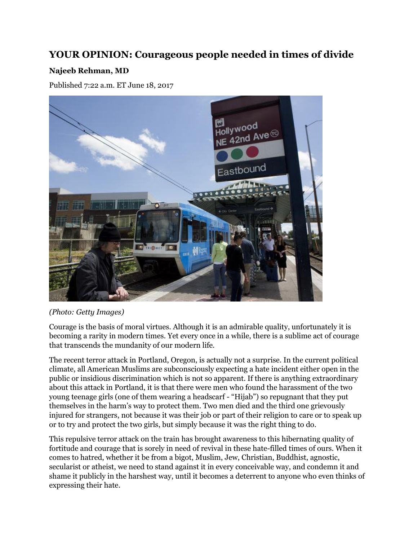## **YOUR OPINION: Courageous people needed in times of divide**

## **Najeeb Rehman, MD**

Published 7:22 a.m. ET June 18, 2017



## *(Photo: Getty Images)*

Courage is the basis of moral virtues. Although it is an admirable quality, unfortunately it is becoming a rarity in modern times. Yet every once in a while, there is a sublime act of courage that transcends the mundanity of our modern life.

The recent terror attack in Portland, Oregon, is actually not a surprise. In the current political climate, all American Muslims are subconsciously expecting a hate incident either open in the public or insidious discrimination which is not so apparent. If there is anything extraordinary about this attack in Portland, it is that there were men who found the harassment of the two young teenage girls (one of them wearing a headscarf - "Hijab") so repugnant that they put themselves in the harm's way to protect them. Two men died and the third one grievously injured for strangers, not because it was their job or part of their religion to care or to speak up or to try and protect the two girls, but simply because it was the right thing to do.

This repulsive terror attack on the train has brought awareness to this hibernating quality of fortitude and courage that is sorely in need of revival in these hate-filled times of ours. When it comes to hatred, whether it be from a bigot, Muslim, Jew, Christian, Buddhist, agnostic, secularist or atheist, we need to stand against it in every conceivable way, and condemn it and shame it publicly in the harshest way, until it becomes a deterrent to anyone who even thinks of expressing their hate.